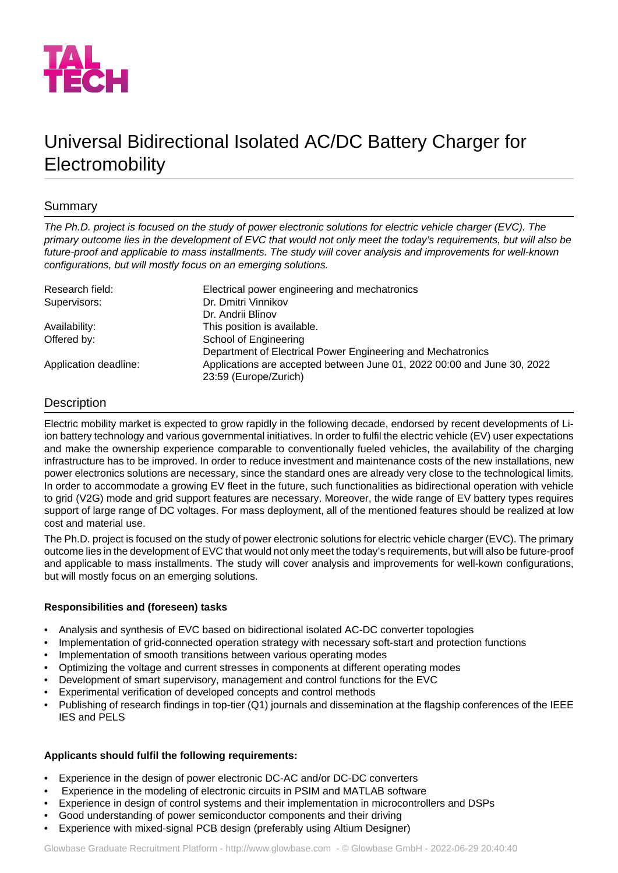

# Universal Bidirectional Isolated AC/DC Battery Charger for **Electromobility**

## Summary

*The Ph.D. project is focused on the study of power electronic solutions for electric vehicle charger (EVC). The* primary outcome lies in the development of EVC that would not only meet the today's requirements, but will also be *future-proof and applicable to mass installments. The study will cover analysis and improvements for well-known configurations, but will mostly focus on an emerging solutions.*

| Research field:       | Electrical power engineering and mechatronics                           |
|-----------------------|-------------------------------------------------------------------------|
| Supervisors:          | Dr. Dmitri Vinnikov                                                     |
|                       | Dr. Andrii Blinov                                                       |
| Availability:         | This position is available.                                             |
| Offered by:           | School of Engineering                                                   |
|                       | Department of Electrical Power Engineering and Mechatronics             |
| Application deadline: | Applications are accepted between June 01, 2022 00:00 and June 30, 2022 |
|                       | 23:59 (Europe/Zurich)                                                   |

## **Description**

Electric mobility market is expected to grow rapidly in the following decade, endorsed by recent developments of Liion battery technology and various governmental initiatives. In order to fulfil the electric vehicle (EV) user expectations and make the ownership experience comparable to conventionally fueled vehicles, the availability of the charging infrastructure has to be improved. In order to reduce investment and maintenance costs of the new installations, new power electronics solutions are necessary, since the standard ones are already very close to the technological limits. In order to accommodate a growing EV fleet in the future, such functionalities as bidirectional operation with vehicle to grid (V2G) mode and grid support features are necessary. Moreover, the wide range of EV battery types requires support of large range of DC voltages. For mass deployment, all of the mentioned features should be realized at low cost and material use.

The Ph.D. project is focused on the study of power electronic solutions for electric vehicle charger (EVC). The primary outcome lies in the development of EVC that would not only meet the today's requirements, but will also be future-proof and applicable to mass installments. The study will cover analysis and improvements for well-kown configurations, but will mostly focus on an emerging solutions.

#### **Responsibilities and (foreseen) tasks**

- Analysis and synthesis of EVC based on bidirectional isolated AC-DC converter topologies
- Implementation of grid-connected operation strategy with necessary soft-start and protection functions
- Implementation of smooth transitions between various operating modes
- Optimizing the voltage and current stresses in components at different operating modes
- Development of smart supervisory, management and control functions for the EVC
- Experimental verification of developed concepts and control methods
- Publishing of research findings in top-tier (Q1) journals and dissemination at the flagship conferences of the IEEE IES and PELS

#### **Applicants should fulfil the following requirements:**

- Experience in the design of power electronic DC-AC and/or DC-DC converters
- Experience in the modeling of electronic circuits in PSIM and MATLAB software
- Experience in design of control systems and their implementation in microcontrollers and DSPs
- Good understanding of power semiconductor components and their driving
- Experience with mixed-signal PCB design (preferably using Altium Designer)

Glowbase Graduate Recruitment Platform -<http://www.glowbase.com> - © Glowbase GmbH - 2022-06-29 20:40:40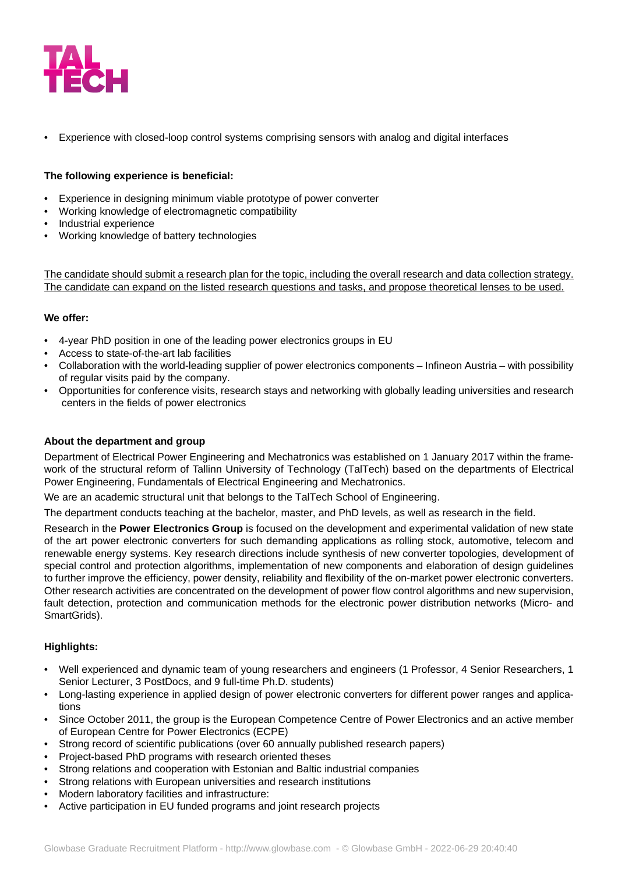

• Experience with closed-loop control systems comprising sensors with analog and digital interfaces

#### **The following experience is beneficial:**

- Experience in designing minimum viable prototype of power converter
- Working knowledge of electromagnetic compatibility
- Industrial experience
- Working knowledge of battery technologies

The candidate should submit a research plan for the topic, including the overall research and data collection strategy. The candidate can expand on the listed research questions and tasks, and propose theoretical lenses to be used.

### **We offer:**

- 4-year PhD position in one of the leading power electronics groups in EU
- Access to state-of-the-art lab facilities
- Collaboration with the world-leading supplier of power electronics components Infineon Austria with possibility of regular visits paid by the company.
- Opportunities for conference visits, research stays and networking with globally leading universities and research centers in the fields of power electronics

#### **About the department and group**

Department of Electrical Power Engineering and Mechatronics was established on 1 January 2017 within the framework of the structural reform of Tallinn University of Technology (TalTech) based on the departments of Electrical Power Engineering, Fundamentals of Electrical Engineering and Mechatronics.

We are an academic structural unit that belongs to the TalTech School of Engineering.

The department conducts teaching at the bachelor, master, and PhD levels, as well as research in the field.

Research in the **Power Electronics Group** is focused on the development and experimental validation of new state of the art power electronic converters for such demanding applications as rolling stock, automotive, telecom and renewable energy systems. Key research directions include synthesis of new converter topologies, development of special control and protection algorithms, implementation of new components and elaboration of design guidelines to further improve the efficiency, power density, reliability and flexibility of the on-market power electronic converters. Other research activities are concentrated on the development of power flow control algorithms and new supervision, fault detection, protection and communication methods for the electronic power distribution networks (Micro- and SmartGrids).

#### **Highlights:**

- Well experienced and dynamic team of young researchers and engineers (1 Professor, 4 Senior Researchers, 1 Senior Lecturer, 3 PostDocs, and 9 full-time Ph.D. students)
- Long-lasting experience in applied design of power electronic converters for different power ranges and applications
- Since October 2011, the group is the European Competence Centre of Power Electronics and an active member of European Centre for Power Electronics (ECPE)
- Strong record of scientific publications (over 60 annually published research papers)
- Project-based PhD programs with research oriented theses
- Strong relations and cooperation with Estonian and Baltic industrial companies
- Strong relations with European universities and research institutions
- Modern laboratory facilities and infrastructure:
- Active participation in EU funded programs and joint research projects